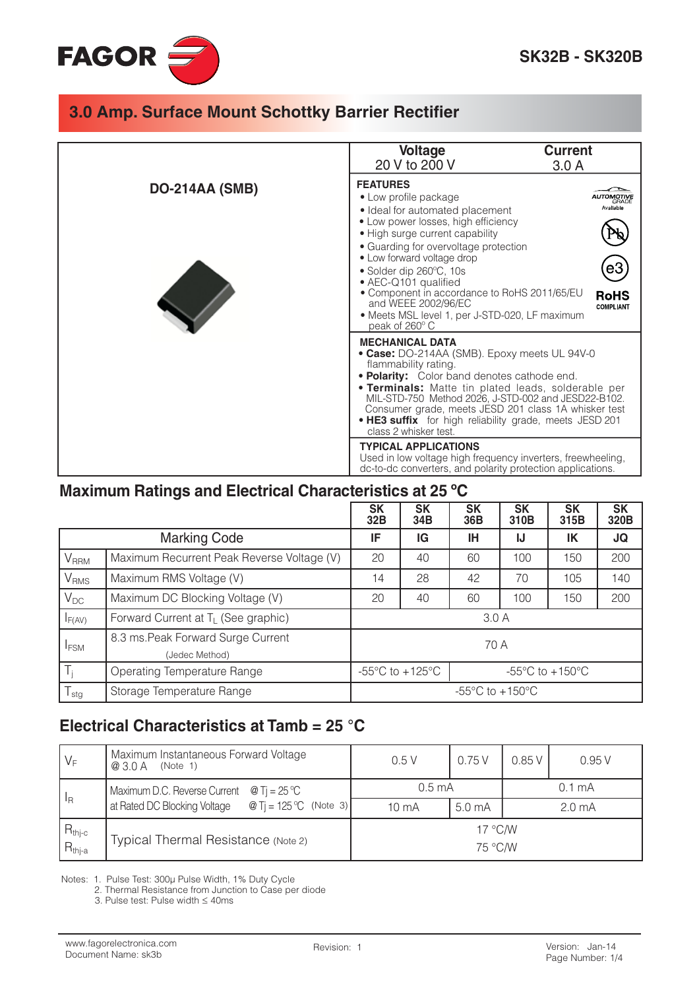

|                       | <b>Voltage</b>                                                                                                                                                                                                                                                                                                                                                                                                                                                            | <b>Current</b> |  |  |  |
|-----------------------|---------------------------------------------------------------------------------------------------------------------------------------------------------------------------------------------------------------------------------------------------------------------------------------------------------------------------------------------------------------------------------------------------------------------------------------------------------------------------|----------------|--|--|--|
|                       | 20 V to 200 V                                                                                                                                                                                                                                                                                                                                                                                                                                                             | 3.0A           |  |  |  |
| <b>DO-214AA (SMB)</b> | <b>FEATURES</b><br>• Low profile package<br>Available<br>• Ideal for automated placement<br>• Low power losses, high efficiency<br>• High surge current capability<br>• Guarding for overvoltage protection<br>• Low forward voltage drop<br>• Solder dip 260°C, 10s<br>• AEC-Q101 qualified<br>• Component in accordance to RoHS 2011/65/EU<br><b>RoHS</b><br>and WEEE 2002/96/EC<br><b>COMPLIANT</b><br>• Meets MSL level 1, per J-STD-020, LF maximum<br>peak of 260°C |                |  |  |  |
|                       | <b>MECHANICAL DATA</b><br>• Case: DO-214AA (SMB). Epoxy meets UL 94V-0<br>flammability rating.<br>. Polarity: Color band denotes cathode end.<br><b>• Terminals:</b> Matte tin plated leads, solderable per<br>MIL-STD-750 Method 2026, J-STD-002 and JESD22-B102.<br>Consumer grade, meets JESD 201 class 1A whisker test<br>. HE3 suffix for high reliability grade, meets JESD 201<br>class 2 whisker test.                                                            |                |  |  |  |
|                       | <b>TYPICAL APPLICATIONS</b><br>Used in low voltage high frequency inverters, freewheeling,<br>dc-to-dc converters, and polarity protection applications.                                                                                                                                                                                                                                                                                                                  |                |  |  |  |

#### Maximum Ratings and Electrical Characteristics at 25 °C

|                         |                                                      | <b>SK</b><br>32B                                                                             | <b>SK</b><br>34B | <b>SK</b><br>36B | <b>SK</b><br>310B | <b>SK</b><br>315B | <b>SK</b><br>320B |
|-------------------------|------------------------------------------------------|----------------------------------------------------------------------------------------------|------------------|------------------|-------------------|-------------------|-------------------|
| <b>Marking Code</b>     |                                                      | IF                                                                                           | IG               | ΙH               | IJ                | IK                | JQ                |
| V <sub>RRM</sub>        | Maximum Recurrent Peak Reverse Voltage (V)           |                                                                                              | 40               | 60               | 100               | 150               | 200               |
| <b>V</b> <sub>RMS</sub> | Maximum RMS Voltage (V)                              |                                                                                              | 28               | 42               | 70                | 105               | 140               |
| $V_{DC}$                | Maximum DC Blocking Voltage (V)                      |                                                                                              | 40               | 60               | 100               | 150               | 200               |
| $I_{F(AV)}$             | Forward Current at T <sub>L</sub> (See graphic)      | 3.0A                                                                                         |                  |                  |                   |                   |                   |
| <b>IFSM</b>             | 8.3 ms. Peak Forward Surge Current<br>(Jedec Method) | 70 A                                                                                         |                  |                  |                   |                   |                   |
| $T_i$                   | Operating Temperature Range                          | -55 $\mathrm{^{\circ}C}$ to +125 $\mathrm{^{\circ}C}$<br>$-55^{\circ}$ C to $+150^{\circ}$ C |                  |                  |                   |                   |                   |
| $T_{\text{stg}}$        | Storage Temperature Range                            | $-55^{\circ}$ C to $+150^{\circ}$ C                                                          |                  |                  |                   |                   |                   |

#### Electrical Characteristics at Tamb =  $25^{\circ}$ C

| $V_F$                                                                                    | Maximum Instantaneous Forward Voltage<br>@ 3.0 A<br>(Note 1) | 0.5V                        | 0.75V | 0.85V              | 0.95V |  |
|------------------------------------------------------------------------------------------|--------------------------------------------------------------|-----------------------------|-------|--------------------|-------|--|
| Maximum D.C. Reverse Current $\circ$ T <sub>i</sub> = 25 °C<br>$\mathsf{I}_{\mathsf{R}}$ |                                                              | $0.5 \text{ mA}$            |       | $0.1 \text{ mA}$   |       |  |
| at Rated DC Blocking Voltage $\circledR$ Tj = 125 °C (Note 3)                            | 10 <sub>m</sub> A                                            | 5.0 <sub>m</sub> A          |       | 2.0 <sub>m</sub> A |       |  |
| $\begin{aligned} R_{\text{thj-c}} \\ R_{\text{thj-a}} \end{aligned}$                     | Typical Thermal Resistance (Note 2)                          | $17^{\circ}$ C/W<br>75 °C/W |       |                    |       |  |

Notes: 1. Pulse Test: 300µ Pulse Width, 1% Duty Cycle<br>2. Thermal Resistance from Junction to Case per diode

3. Pulse test: Pulse width  $\leq 40$ ms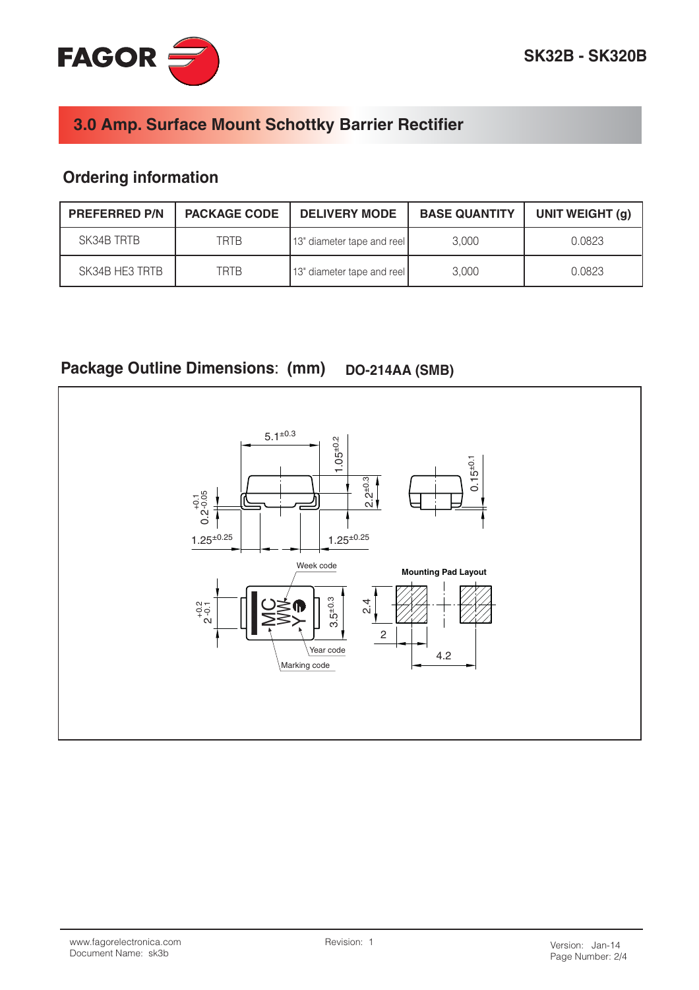

## **Ordering information**

| <b>PREFERRED P/N</b> | <b>PACKAGE CODE</b> | <b>DELIVERY MODE</b>       | <b>BASE QUANTITY</b> | UNIT WEIGHT (g) |
|----------------------|---------------------|----------------------------|----------------------|-----------------|
| SK34B TRTB           | <b>TRTB</b>         | 13" diameter tape and reel | 3.000                | 0.0823          |
| SK34B HE3 TRTB       | TRTB                | 13" diameter tape and reel | 3.000                | 0.0823          |

#### **Package Outline Dimensions: (mm) DO-214AA (SMB)**

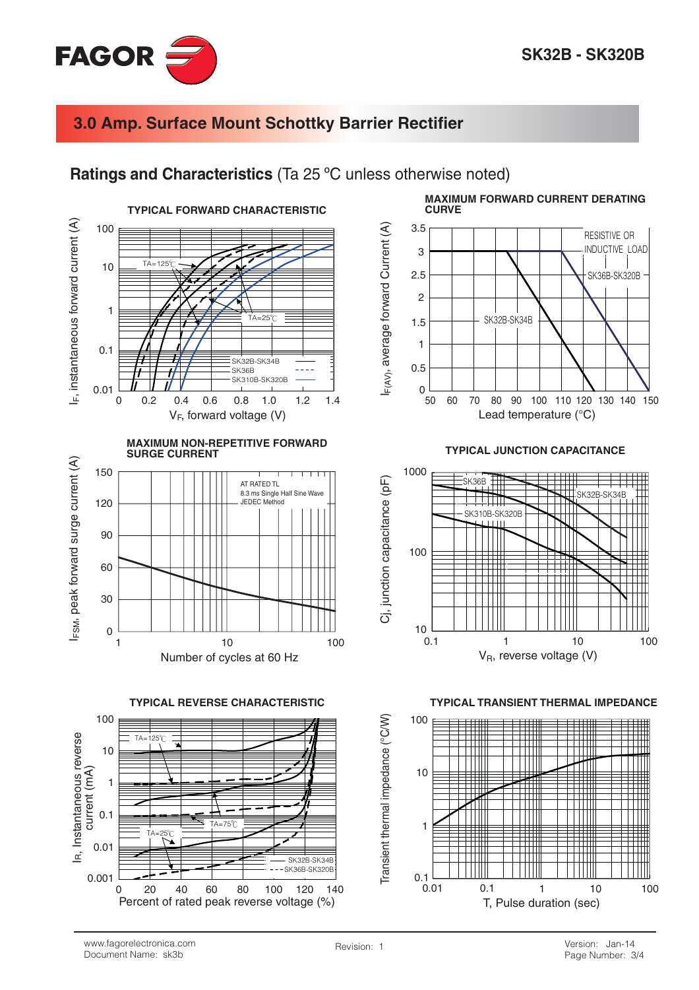

#### Ratings and Characteristics (Ta 25 °C unless otherwise noted)